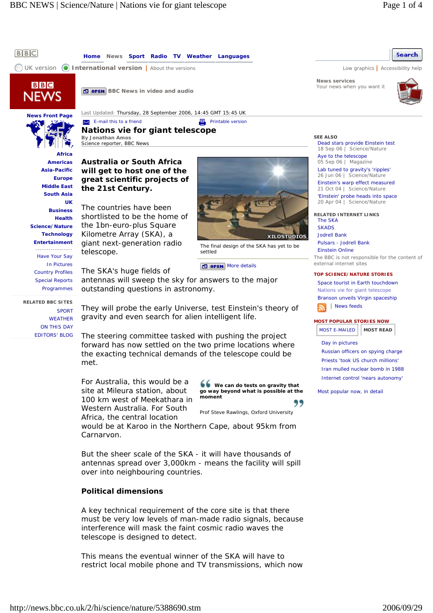

But the sheer scale of the SKA - it will have thousands of antennas spread over 3,000km - means the facility will spill over into neighbouring countries.

## **Political dimensions**

A key technical requirement of the core site is that there must be very low levels of man-made radio signals, because interference will mask the faint cosmic radio waves the telescope is designed to detect.

This means the eventual winner of the SKA will have to restrict local mobile phone and TV transmissions, which now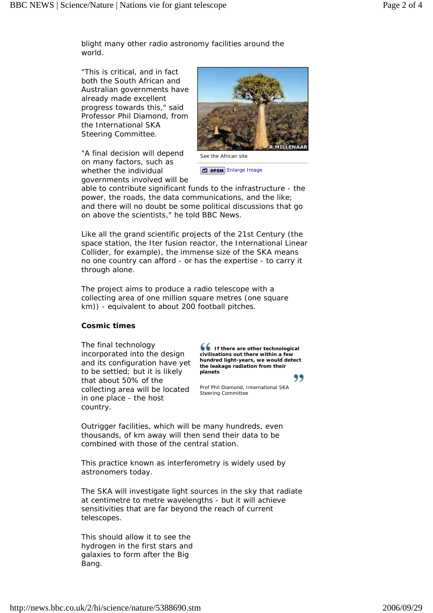blight many other radio astronomy facilities around the world.

"This is critical, and in fact both the South African and Australian governments have already made excellent progress towards this," said Professor Phil Diamond, from the International SKA Steering Committee.

"A final decision will depend on many factors, such as whether the individual governments involved will be



**C OPEN** Enlarge Image

able to contribute significant funds to the infrastructure - the power, the roads, the data communications, and the like; and there will no doubt be some political discussions that go on above the scientists," he told BBC News.

Like all the grand scientific projects of the 21st Century (the space station, the Iter fusion reactor, the International Linear Collider, for example), the immense size of the SKA means no one country can afford - or has the expertise - to carry it through alone.

The project aims to produce a radio telescope with a collecting area of one million square metres (one square km)) - equivalent to about 200 football pitches.

## **Cosmic times**

The final technology incorporated into the design and its configuration have yet to be settled; but it is likely that about 50% of the collecting area will be located in one place - the host country.

**If there are other technological civilisations out there within a few hundred light-years, we would detect the leakage radiation from their planets**

99

Prof Phil Diamond, International SKA Steering Committee

Outrigger facilities, which will be many hundreds, even thousands, of km away will then send their data to be combined with those of the central station.

This practice known as interferometry is widely used by astronomers today.

The SKA will investigate light sources in the sky that radiate at centimetre to metre wavelengths - but it will achieve sensitivities that are far beyond the reach of current telescopes.

This should allow it to see the hydrogen in the first stars and galaxies to form after the Big Bang.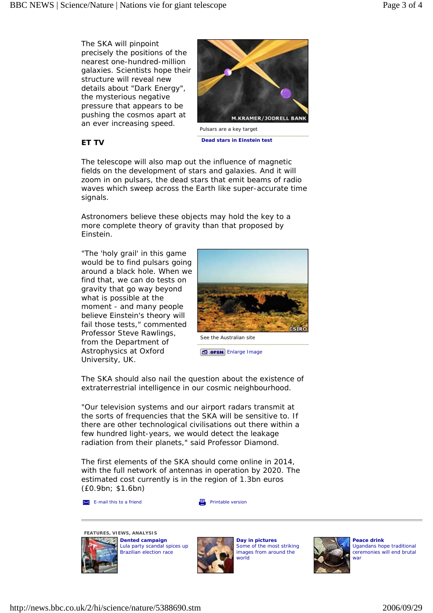The SKA will pinpoint precisely the positions of the nearest one-hundred-million galaxies. Scientists hope their structure will reveal new details about "Dark Energy", the mysterious negative pressure that appears to be pushing the cosmos apart at an ever increasing speed.



Pulsars are a key target

**Dead stars in Einstein test**

## **ET TV**

The telescope will also map out the influence of magnetic fields on the development of stars and galaxies. And it will zoom in on pulsars, the dead stars that emit beams of radio waves which sweep across the Earth like super-accurate time signals.

Astronomers believe these objects may hold the key to a more complete theory of gravity than that proposed by Einstein.

"The 'holy grail' in this game would be to find pulsars going around a black hole. When we find that, we can do tests on gravity that go way beyond what is possible at the moment - and many people believe Einstein's theory will fail those tests," commented Professor Steve Rawlings, from the Department of Astrophysics at Oxford University, UK.



See the Australian site

**Enlarge Image** 

The SKA should also nail the question about the existence of extraterrestrial intelligence in our cosmic neighbourhood.

"Our television systems and our airport radars transmit at the sorts of frequencies that the SKA will be sensitive to. If there are other technological civilisations out there within a few hundred light-years, we would detect the leakage radiation from their planets," said Professor Diamond.

The first elements of the SKA should come online in 2014, with the full network of antennas in operation by 2020. The estimated cost currently is in the region of 1.3bn euros (£0.9bn; \$1.6bn)

**E-mail this to a friend Printable version** Printable version

**FEATURES, VIEWS, ANALYSIS** 



**Dented campaign** Lula party scandal spices up **Brazilian election race** 



**Day in pictures** Some of the most striking images from around the world



**Peace drink** Ugandans hope traditional ceremonies will end brutal war